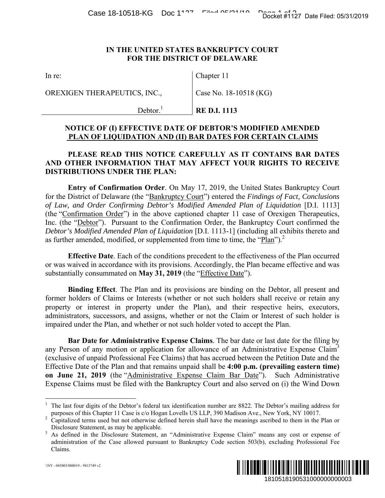## **IN THE UNITED STATES BANKRUPTCY COURT FOR THE DISTRICT OF DELAWARE**

OREXIGEN THERAPEUTICS, INC.,

Chapter 11

Case No. 18-10518 (KG)

 $Dektor.<sup>1</sup>$ **RE D.I. 1113** 

## **NOTICE OF (I) EFFECTIVE DATE OF DEBTOR'S MODIFIED AMENDED PLAN OF LIQUIDATION AND (II) BAR DATES FOR CERTAIN CLAIMS**

## **PLEASE READ THIS NOTICE CAREFULLY AS IT CONTAINS BAR DATES AND OTHER INFORMATION THAT MAY AFFECT YOUR RIGHTS TO RECEIVE DISTRIBUTIONS UNDER THE PLAN:**

**Entry of Confirmation Order**. On May 17, 2019, the United States Bankruptcy Court for the District of Delaware (the "Bankruptcy Court") entered the *Findings of Fact, Conclusions of Law, and Order Confirming Debtor's Modified Amended Plan of Liquidation* [D.I. 1113] (the "Confirmation Order") in the above captioned chapter 11 case of Orexigen Therapeutics, Inc. (the "Debtor"). Pursuant to the Confirmation Order, the Bankruptcy Court confirmed the *Debtor's Modified Amended Plan of Liquidation* [D.I. 1113-1] (including all exhibits thereto and as further amended, modified, or supplemented from time to time, the "Plan").<sup>2</sup> Docket #1127 Date Filed: 05/31/2019<br>
IURT<br>
URT<br>
URT<br>
URT<br>
URT<br>
URT<br>
NTAINS BAR DATES<br>
IGHTS TO RECEIVE<br>
States Bankruptcy Court<br>
States Bankruptcy Court<br>
States Bankruptcy Court<br>
States Bankruptcy Court<br>
States Bankruptcy

**Effective Date**. Each of the conditions precedent to the effectiveness of the Plan occurred or was waived in accordance with its provisions. Accordingly, the Plan became effective and was substantially consummated on **May 31, 2019** (the "Effective Date").

**Binding Effect**. The Plan and its provisions are binding on the Debtor, all present and former holders of Claims or Interests (whether or not such holders shall receive or retain any property or interest in property under the Plan), and their respective heirs, executors, administrators, successors, and assigns, whether or not the Claim or Interest of such holder is impaired under the Plan, and whether or not such holder voted to accept the Plan.

**Bar Date for Administrative Expense Claims**. The bar date or last date for the filing by any Person of any motion or application for allowance of an Administrative Expense Claim<sup>3</sup> (exclusive of unpaid Professional Fee Claims) that has accrued between the Petition Date and the Effective Date of the Plan and that remains unpaid shall be **4:00 p.m. (prevailing eastern time) on June 21, 2019** (the "Administrative Expense Claim Bar Date"). Such Administrative Expense Claims must be filed with the Bankruptcy Court and also served on (i) the Wind Down

<sup>&</sup>lt;sup>3</sup> As defined in the Disclosure Statement, an "Administrative Expense Claim" means any cost or expense of administration of the Case allowed pursuant to Bankruptcy Code section 503(b), excluding Professional Fee Claims.



 $\overline{a}$ 

<sup>&</sup>lt;sup>1</sup> The last four digits of the Debtor's federal tax identification number are 8822. The Debtor's mailing address for purposes of this Chapter 11 Case is c/o Hogan Lovells US LLP, 390 Madison Ave., New York, NY 10017. 2

Capitalized terms used but not otherwise defined herein shall have the meanings ascribed to them in the Plan or Disclosure Statement, as may be applicable.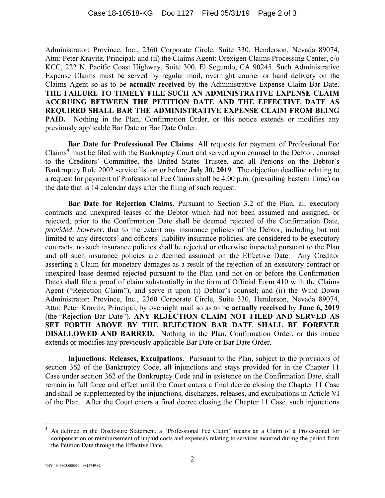Administrator: Province, Inc., 2360 Corporate Circle, Suite 330, Henderson, Nevada 89074, Attn: Peter Kravitz, Principal; and (ii) the Claims Agent: Orexigen Claims Processing Center, c/o KCC, 222 N. Pacific Coast Highway, Suite 300, El Segundo, CA 90245. Such Administrative Expense Claims must be served by regular mail, overnight courier or hand delivery on the Claims Agent so as to be **actually received** by the Administrative Expense Claim Bar Date. **THE FAILURE TO TIMELY FILE SUCH AN ADMINISTRATIVE EXPENSE CLAIM ACCRUING BETWEEN THE PETITION DATE AND THE EFFECTIVE DATE AS REQUIRED SHALL BAR THE ADMINISTRATIVE EXPENSE CLAIM FROM BEING**  PAID. Nothing in the Plan, Confirmation Order, or this notice extends or modifies any previously applicable Bar Date or Bar Date Order.

**Bar Date for Professional Fee Claims**. All requests for payment of Professional Fee Claims<sup>4</sup> must be filed with the Bankruptcy Court and served upon counsel to the Debtor, counsel to the Creditors' Committee, the United States Trustee, and all Persons on the Debtor's Bankruptcy Rule 2002 service list on or before **July 30, 2019**. The objection deadline relating to a request for payment of Professional Fee Claims shall be 4:00 p.m. (prevailing Eastern Time) on the date that is 14 calendar days after the filing of such request.

**Bar Date for Rejection Claims**. Pursuant to Section 3.2 of the Plan, all executory contracts and unexpired leases of the Debtor which had not been assumed and assigned, or rejected, prior to the Confirmation Date shall be deemed rejected of the Confirmation Date, *provided, however*, that to the extent any insurance policies of the Debtor, including but not limited to any directors' and officers' liability insurance policies, are considered to be executory contracts, no such insurance policies shall be rejected or otherwise impacted pursuant to the Plan and all such insurance policies are deemed assumed on the Effective Date. Any Creditor asserting a Claim for monetary damages as a result of the rejection of an executory contract or unexpired lease deemed rejected pursuant to the Plan (and not on or before the Confirmation Date) shall file a proof of claim substantially in the form of Official Form 410 with the Claims Agent ("Rejection Claim"), and serve it upon (i) Debtor's counsel; and (ii) the Wind Down Administrator: Province, Inc., 2360 Corporate Circle, Suite 330, Henderson, Nevada 89074, Attn: Peter Kravitz, Principal, by overnight mail so as to be **actually received** by **June 6, 2019** (the "Rejection Bar Date"). **ANY REJECTION CLAIM NOT FILED AND SERVED AS SET FORTH ABOVE BY THE REJECTION BAR DATE SHALL BE FOREVER DISALLOWED AND BARRED.** Nothing in the Plan, Confirmation Order, or this notice extends or modifies any previously applicable Bar Date or Bar Date Order.

**Injunctions, Releases, Exculpations**.Pursuant to the Plan, subject to the provisions of section 362 of the Bankruptcy Code, all injunctions and stays provided for in the Chapter 11 Case under section 362 of the Bankruptcy Code and in existence on the Confirmation Date, shall remain in full force and effect until the Court enters a final decree closing the Chapter 11 Case and shall be supplemented by the injunctions, discharges, releases, and exculpations in Article VI of the Plan. After the Court enters a final decree closing the Chapter 11 Case, such injunctions

1

<sup>4</sup> As defined in the Disclosure Statement, a "Professional Fee Claim" means an a Claim of a Professional for compensation or reimbursement of unpaid costs and expenses relating to services incurred during the period from the Petition Date through the Effective Date.